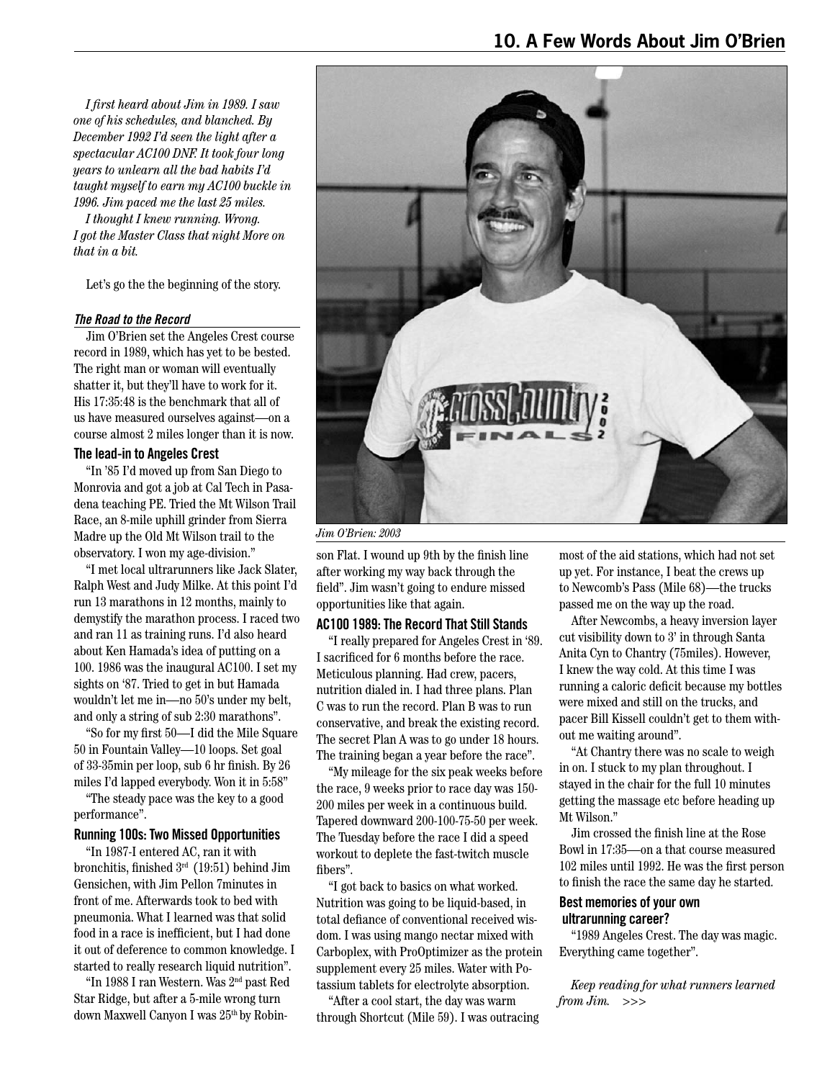*I first heard about Jim in 1989. I saw one of his schedules, and blanched. By December 1992 I'd seen the light after a spectacular AC100 DNF. It took four long years to unlearn all the bad habits I'd taught myself to earn my AC100 buckle in 1996. Jim paced me the last 25 miles.* 

*I thought I knew running. Wrong. I got the Master Class that night More on that in a bit.*

Let's go the the beginning of the story.

#### *The Road to the Record*

Jim O'Brien set the Angeles Crest course record in 1989, which has yet to be bested. The right man or woman will eventually shatter it, but they'll have to work for it. His 17:35:48 is the benchmark that all of us have measured ourselves against—on a course almost 2 miles longer than it is now.

#### **The lead-in to Angeles Crest**

"In '85 I'd moved up from San Diego to Monrovia and got a job at Cal Tech in Pasadena teaching PE. Tried the Mt Wilson Trail Race, an 8-mile uphill grinder from Sierra Madre up the Old Mt Wilson trail to the observatory. I won my age-division."

"I met local ultrarunners like Jack Slater, Ralph West and Judy Milke. At this point I'd run 13 marathons in 12 months, mainly to demystify the marathon process. I raced two and ran 11 as training runs. I'd also heard about Ken Hamada's idea of putting on a 100. 1986 was the inaugural AC100. I set my sights on '87. Tried to get in but Hamada wouldn't let me in—no 50's under my belt, and only a string of sub 2:30 marathons".

"So for my first 50—I did the Mile Square 50 in Fountain Valley—10 loops. Set goal of 33-35min per loop, sub 6 hr finish. By 26 miles I'd lapped everybody. Won it in 5:58"

"The steady pace was the key to a good performance".

#### **Running 100s: Two Missed Opportunities**

"In 1987-I entered AC, ran it with bronchitis, finished 3rd (19:51) behind Jim Gensichen, with Jim Pellon 7minutes in front of me. Afterwards took to bed with pneumonia. What I learned was that solid food in a race is inefficient, but I had done it out of deference to common knowledge. I started to really research liquid nutrition".

"In 1988 I ran Western. Was 2nd past Red Star Ridge, but after a 5-mile wrong turn down Maxwell Canyon I was 25<sup>th</sup> by Robin-



*Jim O'Brien: 2003*

son Flat. I wound up 9th by the finish line after working my way back through the field". Jim wasn't going to endure missed opportunities like that again.

#### **AC100 1989: The Record That Still Stands**

"I really prepared for Angeles Crest in '89. I sacrificed for 6 months before the race. Meticulous planning. Had crew, pacers, nutrition dialed in. I had three plans. Plan C was to run the record. Plan B was to run conservative, and break the existing record. The secret Plan A was to go under 18 hours. The training began a year before the race".

"My mileage for the six peak weeks before the race, 9 weeks prior to race day was 150- 200 miles per week in a continuous build. Tapered downward 200-100-75-50 per week. The Tuesday before the race I did a speed workout to deplete the fast-twitch muscle fibers".

"I got back to basics on what worked. Nutrition was going to be liquid-based, in total defiance of conventional received wisdom. I was using mango nectar mixed with Carboplex, with ProOptimizer as the protein supplement every 25 miles. Water with Potassium tablets for electrolyte absorption.

"After a cool start, the day was warm through Shortcut (Mile 59). I was outracing

most of the aid stations, which had not set up yet. For instance, I beat the crews up to Newcomb's Pass (Mile 68)—the trucks passed me on the way up the road.

After Newcombs, a heavy inversion layer cut visibility down to 3' in through Santa Anita Cyn to Chantry (75miles). However, I knew the way cold. At this time I was running a caloric deficit because my bottles were mixed and still on the trucks, and pacer Bill Kissell couldn't get to them without me waiting around".

"At Chantry there was no scale to weigh in on. I stuck to my plan throughout. I stayed in the chair for the full 10 minutes getting the massage etc before heading up Mt Wilson."

Jim crossed the finish line at the Rose Bowl in 17:35—on a that course measured 102 miles until 1992. He was the first person to finish the race the same day he started.

# **Best memories of your own ultrarunning career?**

"1989 Angeles Crest. The day was magic. Everything came together".

*Keep reading for what runners learned from Jim. >>>*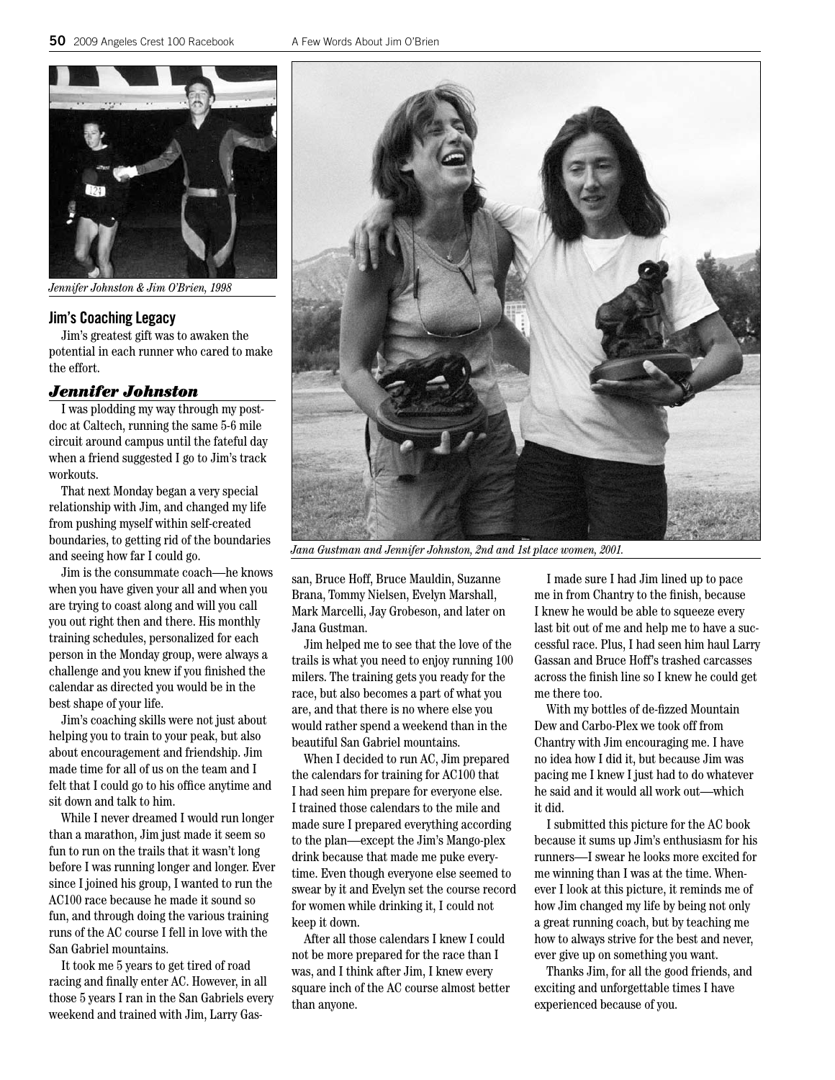

*Jennifer Johnston & Jim O'Brien, 1998*

#### **Jim's Coaching Legacy**

Jim's greatest gift was to awaken the potential in each runner who cared to make the effort.

## *Jennifer Johnston*

I was plodding my way through my postdoc at Caltech, running the same 5-6 mile circuit around campus until the fateful day when a friend suggested I go to Jim's track workouts.

That next Monday began a very special relationship with Jim, and changed my life from pushing myself within self-created boundaries, to getting rid of the boundaries and seeing how far I could go.

Jim is the consummate coach—he knows when you have given your all and when you are trying to coast along and will you call you out right then and there. His monthly training schedules, personalized for each person in the Monday group, were always a challenge and you knew if you finished the calendar as directed you would be in the best shape of your life.

Jim's coaching skills were not just about helping you to train to your peak, but also about encouragement and friendship. Jim made time for all of us on the team and I felt that I could go to his office anytime and sit down and talk to him.

While I never dreamed I would run longer than a marathon, Jim just made it seem so fun to run on the trails that it wasn't long before I was running longer and longer. Ever since I joined his group, I wanted to run the AC100 race because he made it sound so fun, and through doing the various training runs of the AC course I fell in love with the San Gabriel mountains.

It took me 5 years to get tired of road racing and finally enter AC. However, in all those 5 years I ran in the San Gabriels every weekend and trained with Jim, Larry Gas-



*Jana Gustman and Jennifer Johnston, 2nd and 1st place women, 2001.*

san, Bruce Hoff, Bruce Mauldin, Suzanne Brana, Tommy Nielsen, Evelyn Marshall, Mark Marcelli, Jay Grobeson, and later on Jana Gustman.

Jim helped me to see that the love of the trails is what you need to enjoy running 100 milers. The training gets you ready for the race, but also becomes a part of what you are, and that there is no where else you would rather spend a weekend than in the beautiful San Gabriel mountains.

When I decided to run AC, Jim prepared the calendars for training for AC100 that I had seen him prepare for everyone else. I trained those calendars to the mile and made sure I prepared everything according to the plan—except the Jim's Mango-plex drink because that made me puke everytime. Even though everyone else seemed to swear by it and Evelyn set the course record for women while drinking it, I could not keep it down.

After all those calendars I knew I could not be more prepared for the race than I was, and I think after Jim, I knew every square inch of the AC course almost better than anyone.

I made sure I had Jim lined up to pace me in from Chantry to the finish, because I knew he would be able to squeeze every last bit out of me and help me to have a successful race. Plus, I had seen him haul Larry Gassan and Bruce Hoff's trashed carcasses across the finish line so I knew he could get me there too.

With my bottles of de-fizzed Mountain Dew and Carbo-Plex we took off from Chantry with Jim encouraging me. I have no idea how I did it, but because Jim was pacing me I knew I just had to do whatever he said and it would all work out—which it did.

I submitted this picture for the AC book because it sums up Jim's enthusiasm for his runners—I swear he looks more excited for me winning than I was at the time. Whenever I look at this picture, it reminds me of how Jim changed my life by being not only a great running coach, but by teaching me how to always strive for the best and never, ever give up on something you want.

Thanks Jim, for all the good friends, and exciting and unforgettable times I have experienced because of you.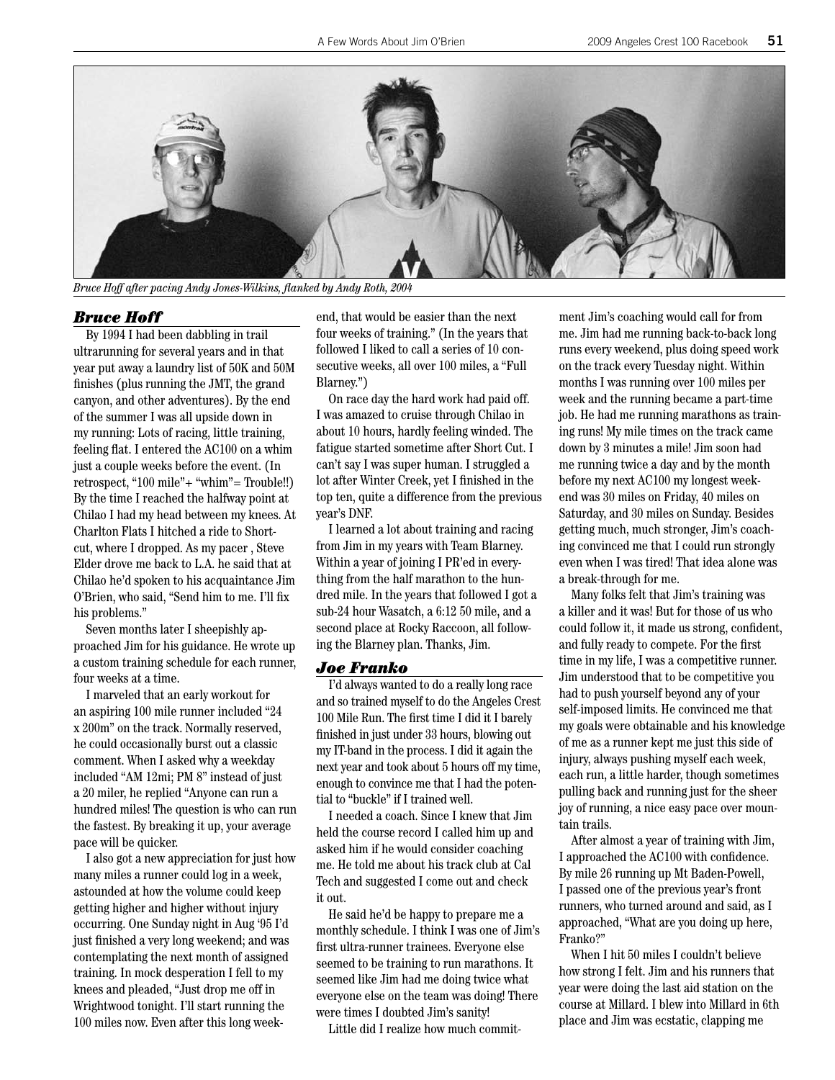

*Bruce Hoff after pacing Andy Jones-Wilkins, flanked by Andy Roth, 2004*

#### *Bruce Hoff*

By 1994 I had been dabbling in trail ultrarunning for several years and in that year put away a laundry list of 50K and 50M finishes (plus running the JMT, the grand canyon, and other adventures). By the end of the summer I was all upside down in my running: Lots of racing, little training, feeling flat. I entered the AC100 on a whim just a couple weeks before the event. (In retrospect, "100 mile"+ "whim"= Trouble!!) By the time I reached the halfway point at Chilao I had my head between my knees. At Charlton Flats I hitched a ride to Shortcut, where I dropped. As my pacer , Steve Elder drove me back to L.A. he said that at Chilao he'd spoken to his acquaintance Jim O'Brien, who said, "Send him to me. I'll fix his problems."

Seven months later I sheepishly approached Jim for his guidance. He wrote up a custom training schedule for each runner, four weeks at a time.

I marveled that an early workout for an aspiring 100 mile runner included "24 x 200m" on the track. Normally reserved, he could occasionally burst out a classic comment. When I asked why a weekday included "AM 12mi; PM 8" instead of just a 20 miler, he replied "Anyone can run a hundred miles! The question is who can run the fastest. By breaking it up, your average pace will be quicker.

I also got a new appreciation for just how many miles a runner could log in a week, astounded at how the volume could keep getting higher and higher without injury occurring. One Sunday night in Aug '95 I'd just finished a very long weekend; and was contemplating the next month of assigned training. In mock desperation I fell to my knees and pleaded, "Just drop me off in Wrightwood tonight. I'll start running the 100 miles now. Even after this long weekend, that would be easier than the next four weeks of training." (In the years that followed I liked to call a series of 10 consecutive weeks, all over 100 miles, a "Full Blarney.")

On race day the hard work had paid off. I was amazed to cruise through Chilao in about 10 hours, hardly feeling winded. The fatigue started sometime after Short Cut. I can't say I was super human. I struggled a lot after Winter Creek, yet I finished in the top ten, quite a difference from the previous year's DNF.

I learned a lot about training and racing from Jim in my years with Team Blarney. Within a year of joining I PR'ed in everything from the half marathon to the hundred mile. In the years that followed I got a sub-24 hour Wasatch, a 6:12 50 mile, and a second place at Rocky Raccoon, all following the Blarney plan. Thanks, Jim.

#### *Joe Franko*

I'd always wanted to do a really long race and so trained myself to do the Angeles Crest 100 Mile Run. The first time I did it I barely finished in just under 33 hours, blowing out my IT-band in the process. I did it again the next year and took about 5 hours off my time, enough to convince me that I had the potential to "buckle" if I trained well.

I needed a coach. Since I knew that Jim held the course record I called him up and asked him if he would consider coaching me. He told me about his track club at Cal Tech and suggested I come out and check it out.

He said he'd be happy to prepare me a monthly schedule. I think I was one of Jim's first ultra-runner trainees. Everyone else seemed to be training to run marathons. It seemed like Jim had me doing twice what everyone else on the team was doing! There were times I doubted Jim's sanity!

Little did I realize how much commit-

ment Jim's coaching would call for from me. Jim had me running back-to-back long runs every weekend, plus doing speed work on the track every Tuesday night. Within months I was running over 100 miles per week and the running became a part-time job. He had me running marathons as training runs! My mile times on the track came down by 3 minutes a mile! Jim soon had me running twice a day and by the month before my next AC100 my longest weekend was 30 miles on Friday, 40 miles on Saturday, and 30 miles on Sunday. Besides getting much, much stronger, Jim's coaching convinced me that I could run strongly even when I was tired! That idea alone was a break-through for me.

Many folks felt that Jim's training was a killer and it was! But for those of us who could follow it, it made us strong, confident, and fully ready to compete. For the first time in my life, I was a competitive runner. Jim understood that to be competitive you had to push yourself beyond any of your self-imposed limits. He convinced me that my goals were obtainable and his knowledge of me as a runner kept me just this side of injury, always pushing myself each week, each run, a little harder, though sometimes pulling back and running just for the sheer joy of running, a nice easy pace over mountain trails.

After almost a year of training with Jim, I approached the AC100 with confidence. By mile 26 running up Mt Baden-Powell, I passed one of the previous year's front runners, who turned around and said, as I approached, "What are you doing up here, Franko?"

When I hit 50 miles I couldn't believe how strong I felt. Jim and his runners that year were doing the last aid station on the course at Millard. I blew into Millard in 6th place and Jim was ecstatic, clapping me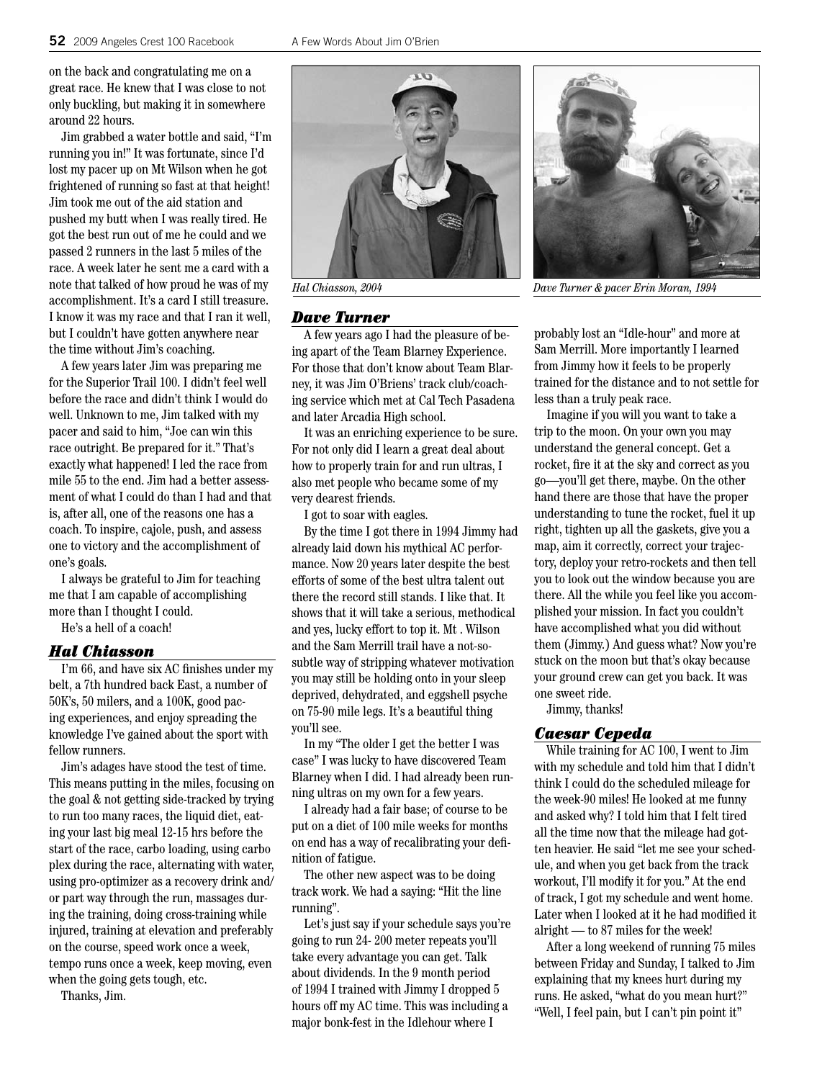on the back and congratulating me on a great race. He knew that I was close to not only buckling, but making it in somewhere around 22 hours.

Jim grabbed a water bottle and said, "I'm running you in!" It was fortunate, since I'd lost my pacer up on Mt Wilson when he got frightened of running so fast at that height! Jim took me out of the aid station and pushed my butt when I was really tired. He got the best run out of me he could and we passed 2 runners in the last 5 miles of the race. A week later he sent me a card with a note that talked of how proud he was of my accomplishment. It's a card I still treasure. I know it was my race and that I ran it well, but I couldn't have gotten anywhere near the time without Jim's coaching.

A few years later Jim was preparing me for the Superior Trail 100. I didn't feel well before the race and didn't think I would do well. Unknown to me, Jim talked with my pacer and said to him, "Joe can win this race outright. Be prepared for it." That's exactly what happened! I led the race from mile 55 to the end. Jim had a better assessment of what I could do than I had and that is, after all, one of the reasons one has a coach. To inspire, cajole, push, and assess one to victory and the accomplishment of one's goals.

I always be grateful to Jim for teaching me that I am capable of accomplishing more than I thought I could.

He's a hell of a coach!

#### *Hal Chiasson*

I'm 66, and have six AC finishes under my belt, a 7th hundred back East, a number of 50K's, 50 milers, and a 100K, good pacing experiences, and enjoy spreading the knowledge I've gained about the sport with fellow runners.

Jim's adages have stood the test of time. This means putting in the miles, focusing on the goal & not getting side-tracked by trying to run too many races, the liquid diet, eating your last big meal 12-15 hrs before the start of the race, carbo loading, using carbo plex during the race, alternating with water, using pro-optimizer as a recovery drink and/ or part way through the run, massages during the training, doing cross-training while injured, training at elevation and preferably on the course, speed work once a week, tempo runs once a week, keep moving, even when the going gets tough, etc.

Thanks, Jim.



# *Dave Turner*

A few years ago I had the pleasure of being apart of the Team Blarney Experience. For those that don't know about Team Blarney, it was Jim O'Briens' track club/coaching service which met at Cal Tech Pasadena and later Arcadia High school.

It was an enriching experience to be sure. For not only did I learn a great deal about how to properly train for and run ultras, I also met people who became some of my very dearest friends.

I got to soar with eagles.

By the time I got there in 1994 Jimmy had already laid down his mythical AC performance. Now 20 years later despite the best efforts of some of the best ultra talent out there the record still stands. I like that. It shows that it will take a serious, methodical and yes, lucky effort to top it. Mt . Wilson and the Sam Merrill trail have a not-sosubtle way of stripping whatever motivation you may still be holding onto in your sleep deprived, dehydrated, and eggshell psyche on 75-90 mile legs. It's a beautiful thing you'll see.

In my "The older I get the better I was case" I was lucky to have discovered Team Blarney when I did. I had already been running ultras on my own for a few years.

I already had a fair base; of course to be put on a diet of 100 mile weeks for months on end has a way of recalibrating your definition of fatigue.

The other new aspect was to be doing track work. We had a saying: "Hit the line running".

Let's just say if your schedule says you're going to run 24- 200 meter repeats you'll take every advantage you can get. Talk about dividends. In the 9 month period of 1994 I trained with Jimmy I dropped 5 hours off my AC time. This was including a major bonk-fest in the Idlehour where I



probably lost an "Idle-hour" and more at Sam Merrill. More importantly I learned from Jimmy how it feels to be properly trained for the distance and to not settle for less than a truly peak race.

Imagine if you will you want to take a trip to the moon. On your own you may understand the general concept. Get a rocket, fire it at the sky and correct as you go—you'll get there, maybe. On the other hand there are those that have the proper understanding to tune the rocket, fuel it up right, tighten up all the gaskets, give you a map, aim it correctly, correct your trajectory, deploy your retro-rockets and then tell you to look out the window because you are there. All the while you feel like you accomplished your mission. In fact you couldn't have accomplished what you did without them (Jimmy.) And guess what? Now you're stuck on the moon but that's okay because your ground crew can get you back. It was one sweet ride.

Jimmy, thanks!

#### *Caesar Cepeda*

While training for AC 100, I went to Jim with my schedule and told him that I didn't think I could do the scheduled mileage for the week-90 miles! He looked at me funny and asked why? I told him that I felt tired all the time now that the mileage had gotten heavier. He said "let me see your schedule, and when you get back from the track workout, I'll modify it for you." At the end of track, I got my schedule and went home. Later when I looked at it he had modified it alright — to 87 miles for the week!

After a long weekend of running 75 miles between Friday and Sunday, I talked to Jim explaining that my knees hurt during my runs. He asked, "what do you mean hurt?" "Well, I feel pain, but I can't pin point it"